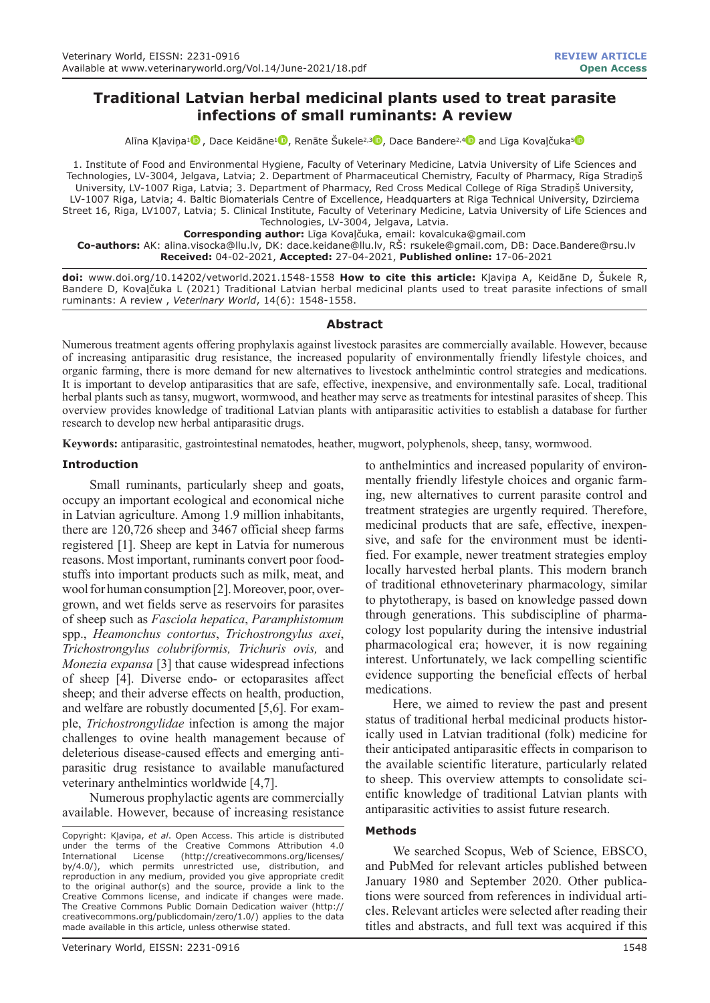# **Traditional Latvian herbal medicinal plants used to treat parasite infections of small ruminants: A review**

Alīna Klaviņa<sup>[1](https://orcid.org/0000-0001-9843-7304)</sup> [,](https://orcid.org/0000-0002-2979-9130) Dace Keidāne<sup>1</sup> , Renāte Šukele<sup>2,3</sup> , Dace Bandere<sup>2,[4](https://orcid.org/0000-0001-9144-8799)</sup> and Līga Kovaļčuka<sup>[5](https://orcid.org/0000-0002-2524-7427)</sup>

1. Institute of Food and Environmental Hygiene, Faculty of Veterinary Medicine, Latvia University of Life Sciences and Technologies, LV-3004, Jelgava, Latvia; 2. Department of Pharmaceutical Chemistry, Faculty of Pharmacy, Rīga Stradiņš University, LV-1007 Riga, Latvia; 3. Department of Pharmacy, Red Cross Medical College of Rīga Stradiņš University, LV-1007 Riga, Latvia; 4. Baltic Biomaterials Centre of Excellence, Headquarters at Riga Technical University, Dzirciema Street 16, Riga, LV1007, Latvia; 5. Clinical Institute, Faculty of Veterinary Medicine, Latvia University of Life Sciences and Technologies, LV-3004, Jelgava, Latvia.

**Corresponding author:** Līga Kovaļčuka, email: kovalcuka@gmail.com **Co-authors:** AK: alina.visocka@llu.lv, DK: dace.keidane@llu.lv, RŠ: rsukele@gmail.com, DB: Dace.Bandere@rsu.lv **Received:** 04-02-2021, **Accepted:** 27-04-2021, **Published online:** 17-06-2021

**doi:** www.doi.org/10.14202/vetworld.2021.1548-1558 **How to cite this article:** Kļaviņa A, Keidāne D, Šukele R, Bandere D, Kovaļčuka L (2021) Traditional Latvian herbal medicinal plants used to treat parasite infections of small ruminants: A review , *Veterinary World*, 14(6): 1548-1558.

## **Abstract**

Numerous treatment agents offering prophylaxis against livestock parasites are commercially available. However, because of increasing antiparasitic drug resistance, the increased popularity of environmentally friendly lifestyle choices, and organic farming, there is more demand for new alternatives to livestock anthelmintic control strategies and medications. It is important to develop antiparasitics that are safe, effective, inexpensive, and environmentally safe. Local, traditional herbal plants such as tansy, mugwort, wormwood, and heather may serve as treatments for intestinal parasites of sheep. This overview provides knowledge of traditional Latvian plants with antiparasitic activities to establish a database for further research to develop new herbal antiparasitic drugs.

**Keywords:** antiparasitic, gastrointestinal nematodes, heather, mugwort, polyphenols, sheep, tansy, wormwood.

### **Introduction**

Small ruminants, particularly sheep and goats, occupy an important ecological and economical niche in Latvian agriculture. Among 1.9 million inhabitants, there are 120,726 sheep and 3467 official sheep farms registered [1]. Sheep are kept in Latvia for numerous reasons. Most important, ruminants convert poor foodstuffs into important products such as milk, meat, and wool for human consumption [2]. Moreover, poor, overgrown, and wet fields serve as reservoirs for parasites of sheep such as *Fasciola hepatica*, *Paramphistomum*  spp., *Heamonchus contortus*, *Trichostrongylus axei*, *Trichostrongylus colubriformis, Trichuris ovis,* and *Monezia expansa* [3] that cause widespread infections of sheep [4]. Diverse endo- or ectoparasites affect sheep; and their adverse effects on health, production, and welfare are robustly documented [5,6]. For example, *Trichostrongylidae* infection is among the major challenges to ovine health management because of deleterious disease-caused effects and emerging antiparasitic drug resistance to available manufactured veterinary anthelmintics worldwide [4,7].

Numerous prophylactic agents are commercially available. However, because of increasing resistance

to anthelmintics and increased popularity of environmentally friendly lifestyle choices and organic farming, new alternatives to current parasite control and treatment strategies are urgently required. Therefore, medicinal products that are safe, effective, inexpensive, and safe for the environment must be identified. For example, newer treatment strategies employ locally harvested herbal plants. This modern branch of traditional ethnoveterinary pharmacology, similar to phytotherapy, is based on knowledge passed down through generations. This subdiscipline of pharmacology lost popularity during the intensive industrial pharmacological era; however, it is now regaining interest. Unfortunately, we lack compelling scientific evidence supporting the beneficial effects of herbal medications.

Here, we aimed to review the past and present status of traditional herbal medicinal products historically used in Latvian traditional (folk) medicine for their anticipated antiparasitic effects in comparison to the available scientific literature, particularly related to sheep. This overview attempts to consolidate scientific knowledge of traditional Latvian plants with antiparasitic activities to assist future research.

### **Methods**

We searched Scopus, Web of Science, EBSCO, and PubMed for relevant articles published between January 1980 and September 2020. Other publications were sourced from references in individual articles. Relevant articles were selected after reading their titles and abstracts, and full text was acquired if this

Copyright: Kļaviņa, *et al*. Open Access. This article is distributed under the terms of the Creative Commons Attribution 4.0<br>International License (http://creativecommons.org/licenses/ (http://creativecommons.org/licenses/ by/4.0/), which permits unrestricted use, distribution, and reproduction in any medium, provided you give appropriate credit to the original author(s) and the source, provide a link to the Creative Commons license, and indicate if changes were made. The Creative Commons Public Domain Dedication waiver (http:// creativecommons.org/publicdomain/zero/1.0/) applies to the data made available in this article, unless otherwise stated.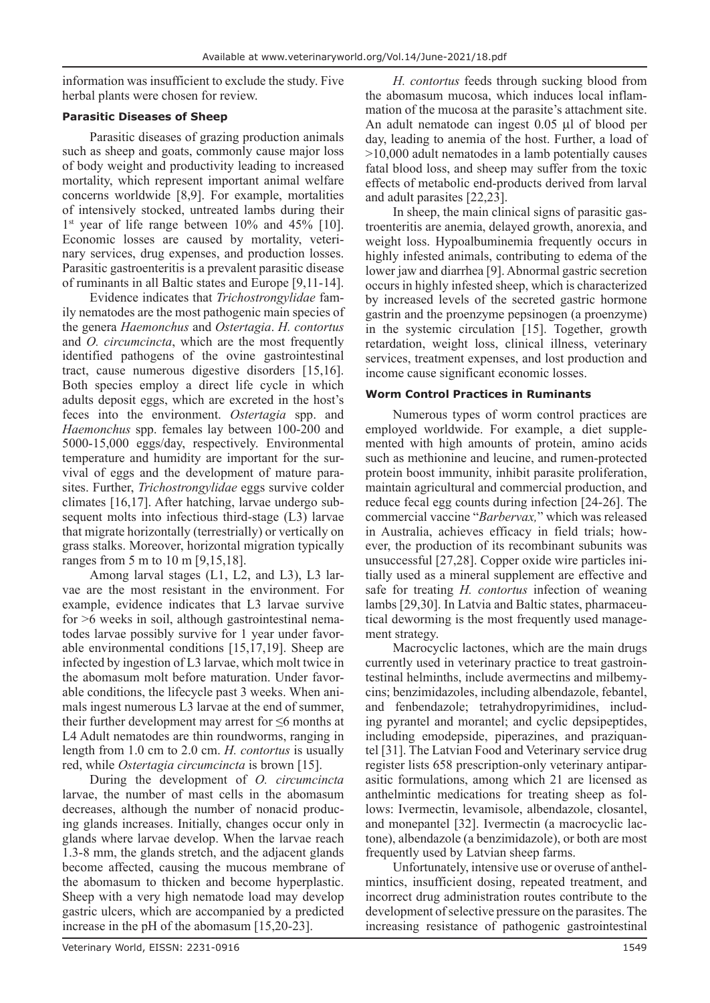information was insufficient to exclude the study. Five herbal plants were chosen for review.

## **Parasitic Diseases of Sheep**

Parasitic diseases of grazing production animals such as sheep and goats, commonly cause major loss of body weight and productivity leading to increased mortality, which represent important animal welfare concerns worldwide [8,9]. For example, mortalities of intensively stocked, untreated lambs during their 1<sup>st</sup> year of life range between 10% and 45% [10]. Economic losses are caused by mortality, veterinary services, drug expenses, and production losses. Parasitic gastroenteritis is a prevalent parasitic disease of ruminants in all Baltic states and Europe [9,11-14].

Evidence indicates that *Trichostrongylidae* family nematodes are the most pathogenic main species of the genera *Haemonchus* and *Ostertagia*. *H. contortus* and *O. circumcincta*, which are the most frequently identified pathogens of the ovine gastrointestinal tract, cause numerous digestive disorders [15,16]. Both species employ a direct life cycle in which adults deposit eggs, which are excreted in the host's feces into the environment. *Ostertagia* spp. and *Haemonchus* spp. females lay between 100-200 and 5000-15,000 eggs/day, respectively. Environmental temperature and humidity are important for the survival of eggs and the development of mature parasites. Further, *Trichostrongylidae* eggs survive colder climates [16,17]. After hatching, larvae undergo subsequent molts into infectious third-stage (L3) larvae that migrate horizontally (terrestrially) or vertically on grass stalks. Moreover, horizontal migration typically ranges from 5 m to 10 m [9,15,18].

Among larval stages (L1, L2, and L3), L3 larvae are the most resistant in the environment. For example, evidence indicates that L3 larvae survive for >6 weeks in soil, although gastrointestinal nematodes larvae possibly survive for 1 year under favorable environmental conditions [15,17,19]. Sheep are infected by ingestion of L3 larvae, which molt twice in the abomasum molt before maturation. Under favorable conditions, the lifecycle past 3 weeks. When animals ingest numerous L3 larvae at the end of summer, their further development may arrest for  $\leq 6$  months at L4 Adult nematodes are thin roundworms, ranging in length from 1.0 cm to 2.0 cm. *H. contortus* is usually red, while *Ostertagia circumcincta* is brown [15].

During the development of *O. circumcincta* larvae, the number of mast cells in the abomasum decreases, although the number of nonacid producing glands increases. Initially, changes occur only in glands where larvae develop. When the larvae reach 1.3-8 mm, the glands stretch, and the adjacent glands become affected, causing the mucous membrane of the abomasum to thicken and become hyperplastic. Sheep with a very high nematode load may develop gastric ulcers, which are accompanied by a predicted increase in the pH of the abomasum [15,20-23].

*H. contortus* feeds through sucking blood from the abomasum mucosa, which induces local inflammation of the mucosa at the parasite's attachment site. An adult nematode can ingest 0.05 µl of blood per day, leading to anemia of the host. Further, a load of >10,000 adult nematodes in a lamb potentially causes fatal blood loss, and sheep may suffer from the toxic effects of metabolic end-products derived from larval and adult parasites [22,23].

In sheep, the main clinical signs of parasitic gastroenteritis are anemia, delayed growth, anorexia, and weight loss. Hypoalbuminemia frequently occurs in highly infested animals, contributing to edema of the lower jaw and diarrhea [9]. Abnormal gastric secretion occurs in highly infested sheep, which is characterized by increased levels of the secreted gastric hormone gastrin and the proenzyme pepsinogen (a proenzyme) in the systemic circulation [15]. Together, growth retardation, weight loss, clinical illness, veterinary services, treatment expenses, and lost production and income cause significant economic losses.

## **Worm Control Practices in Ruminants**

Numerous types of worm control practices are employed worldwide. For example, a diet supplemented with high amounts of protein, amino acids such as methionine and leucine, and rumen-protected protein boost immunity, inhibit parasite proliferation, maintain agricultural and commercial production, and reduce fecal egg counts during infection [24-26]. The commercial vaccine "*Barbervax,*" which was released in Australia, achieves efficacy in field trials; however, the production of its recombinant subunits was unsuccessful [27,28]. Copper oxide wire particles initially used as a mineral supplement are effective and safe for treating *H. contortus* infection of weaning lambs [29,30]. In Latvia and Baltic states, pharmaceutical deworming is the most frequently used management strategy.

Macrocyclic lactones, which are the main drugs currently used in veterinary practice to treat gastrointestinal helminths, include avermectins and milbemycins; benzimidazoles, including albendazole, febantel, and fenbendazole; tetrahydropyrimidines, including pyrantel and morantel; and cyclic depsipeptides, including emodepside, piperazines, and praziquantel [31]. The Latvian Food and Veterinary service drug register lists 658 prescription-only veterinary antiparasitic formulations, among which 21 are licensed as anthelmintic medications for treating sheep as follows: Ivermectin, levamisole, albendazole, closantel, and monepantel [32]. Ivermectin (a macrocyclic lactone), albendazole (a benzimidazole), or both are most frequently used by Latvian sheep farms.

Unfortunately, intensive use or overuse of anthelmintics, insufficient dosing, repeated treatment, and incorrect drug administration routes contribute to the development of selective pressure on the parasites. The increasing resistance of pathogenic gastrointestinal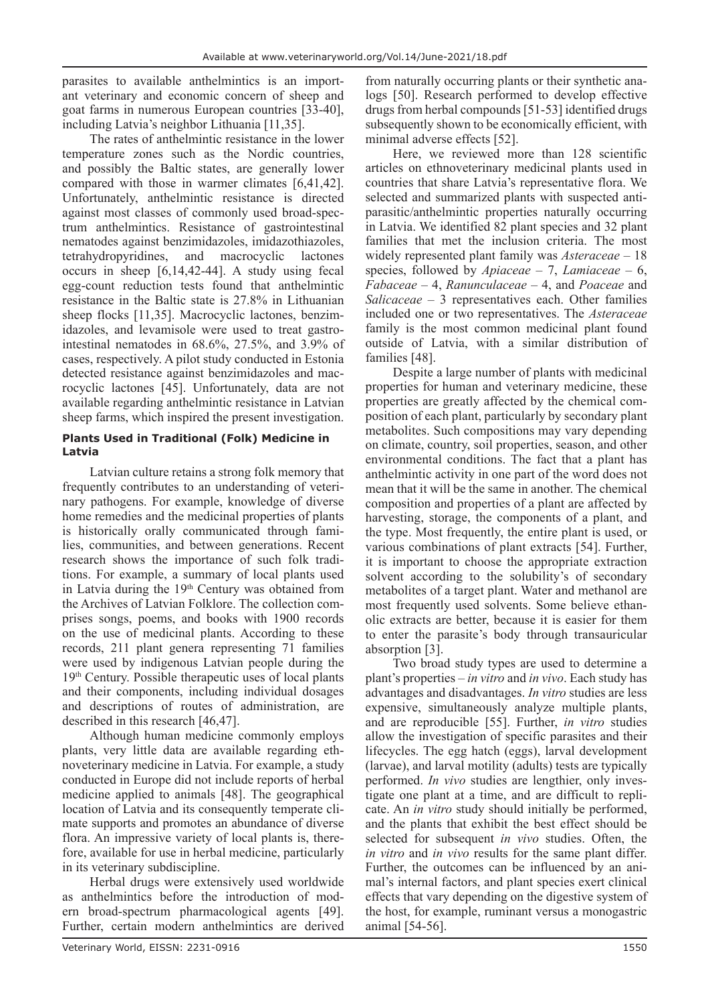parasites to available anthelmintics is an important veterinary and economic concern of sheep and goat farms in numerous European countries [33-40], including Latvia's neighbor Lithuania [11,35].

The rates of anthelmintic resistance in the lower temperature zones such as the Nordic countries, and possibly the Baltic states, are generally lower compared with those in warmer climates [6,41,42]. Unfortunately, anthelmintic resistance is directed against most classes of commonly used broad-spectrum anthelmintics. Resistance of gastrointestinal nematodes against benzimidazoles, imidazothiazoles, tetrahydropyridines, and macrocyclic lactones occurs in sheep [6,14,42-44]. A study using fecal egg-count reduction tests found that anthelmintic resistance in the Baltic state is 27.8% in Lithuanian sheep flocks [11,35]. Macrocyclic lactones, benzimidazoles, and levamisole were used to treat gastrointestinal nematodes in 68.6%, 27.5%, and 3.9% of cases, respectively. A pilot study conducted in Estonia detected resistance against benzimidazoles and macrocyclic lactones [45]. Unfortunately, data are not available regarding anthelmintic resistance in Latvian sheep farms, which inspired the present investigation.

## **Plants Used in Traditional (Folk) Medicine in Latvia**

Latvian culture retains a strong folk memory that frequently contributes to an understanding of veterinary pathogens. For example, knowledge of diverse home remedies and the medicinal properties of plants is historically orally communicated through families, communities, and between generations. Recent research shows the importance of such folk traditions. For example, a summary of local plants used in Latvia during the 19<sup>th</sup> Century was obtained from the Archives of Latvian Folklore. The collection comprises songs, poems, and books with 1900 records on the use of medicinal plants. According to these records, 211 plant genera representing 71 families were used by indigenous Latvian people during the 19th Century. Possible therapeutic uses of local plants and their components, including individual dosages and descriptions of routes of administration, are described in this research [46,47].

Although human medicine commonly employs plants, very little data are available regarding ethnoveterinary medicine in Latvia. For example, a study conducted in Europe did not include reports of herbal medicine applied to animals [48]. The geographical location of Latvia and its consequently temperate climate supports and promotes an abundance of diverse flora. An impressive variety of local plants is, therefore, available for use in herbal medicine, particularly in its veterinary subdiscipline.

Herbal drugs were extensively used worldwide as anthelmintics before the introduction of modern broad-spectrum pharmacological agents [49]. Further, certain modern anthelmintics are derived

from naturally occurring plants or their synthetic analogs [50]. Research performed to develop effective drugs from herbal compounds [51-53] identified drugs subsequently shown to be economically efficient, with minimal adverse effects [52].

Here, we reviewed more than 128 scientific articles on ethnoveterinary medicinal plants used in countries that share Latvia's representative flora. We selected and summarized plants with suspected antiparasitic/anthelmintic properties naturally occurring in Latvia. We identified 82 plant species and 32 plant families that met the inclusion criteria. The most widely represented plant family was *Asteraceae* – 18 species, followed by *Apiaceae* – 7, *Lamiaceae* – 6, *Fabaceae* – 4, *Ranunculaceae* – 4, and *Poaceae* and *Salicaceae* – 3 representatives each. Other families included one or two representatives. The *Asteraceae* family is the most common medicinal plant found outside of Latvia, with a similar distribution of families [48].

Despite a large number of plants with medicinal properties for human and veterinary medicine, these properties are greatly affected by the chemical composition of each plant, particularly by secondary plant metabolites. Such compositions may vary depending on climate, country, soil properties, season, and other environmental conditions. The fact that a plant has anthelmintic activity in one part of the word does not mean that it will be the same in another. The chemical composition and properties of a plant are affected by harvesting, storage, the components of a plant, and the type. Most frequently, the entire plant is used, or various combinations of plant extracts [54]. Further, it is important to choose the appropriate extraction solvent according to the solubility's of secondary metabolites of a target plant. Water and methanol are most frequently used solvents. Some believe ethanolic extracts are better, because it is easier for them to enter the parasite's body through transauricular absorption [3].

Two broad study types are used to determine a plant's properties – *in vitro* and *in vivo*. Each study has advantages and disadvantages. *In vitro* studies are less expensive, simultaneously analyze multiple plants, and are reproducible [55]. Further, *in vitro* studies allow the investigation of specific parasites and their lifecycles. The egg hatch (eggs), larval development (larvae), and larval motility (adults) tests are typically performed. *In vivo* studies are lengthier, only investigate one plant at a time, and are difficult to replicate. An *in vitro* study should initially be performed, and the plants that exhibit the best effect should be selected for subsequent *in vivo* studies. Often, the *in vitro* and *in vivo* results for the same plant differ. Further, the outcomes can be influenced by an animal's internal factors, and plant species exert clinical effects that vary depending on the digestive system of the host, for example, ruminant versus a monogastric animal [54-56].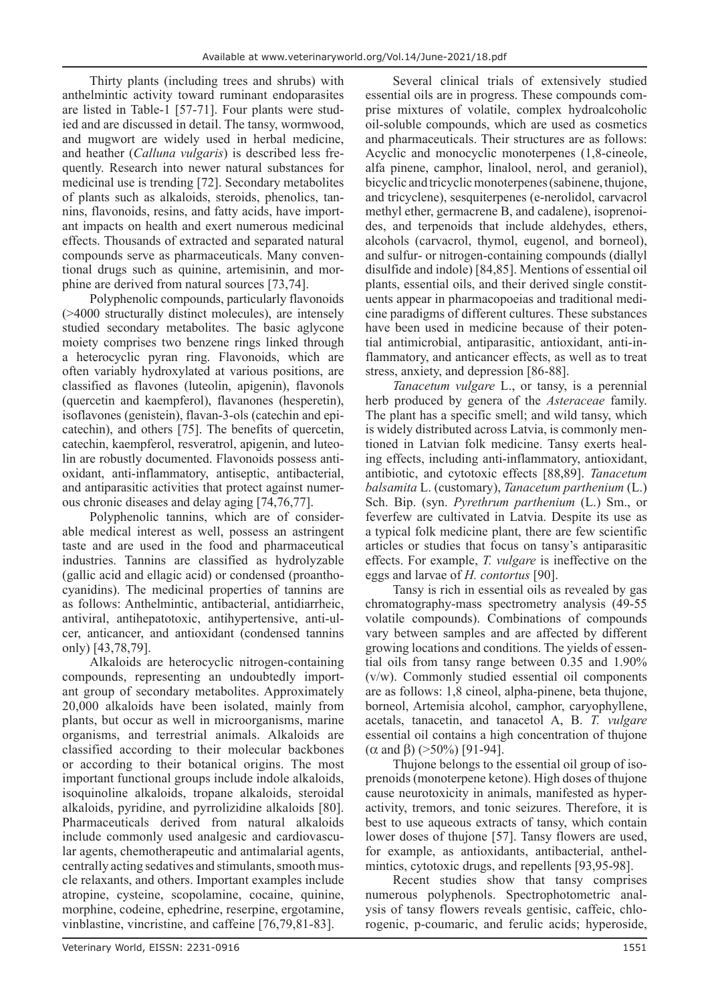Thirty plants (including trees and shrubs) with anthelmintic activity toward ruminant endoparasites are listed in Table-1 [57-71]. Four plants were studied and are discussed in detail. The tansy, wormwood, and mugwort are widely used in herbal medicine, and heather (*Calluna vulgaris*) is described less frequently. Research into newer natural substances for medicinal use is trending [72]. Secondary metabolites of plants such as alkaloids, steroids, phenolics, tannins, flavonoids, resins, and fatty acids, have important impacts on health and exert numerous medicinal effects. Thousands of extracted and separated natural compounds serve as pharmaceuticals. Many conventional drugs such as quinine, artemisinin, and morphine are derived from natural sources [73,74].

Polyphenolic compounds, particularly flavonoids (>4000 structurally distinct molecules), are intensely studied secondary metabolites. The basic aglycone moiety comprises two benzene rings linked through a heterocyclic pyran ring. Flavonoids, which are often variably hydroxylated at various positions, are classified as flavones (luteolin, apigenin), flavonols (quercetin and kaempferol), flavanones (hesperetin), isoflavones (genistein), flavan-3-ols (catechin and epicatechin), and others [75]. The benefits of quercetin, catechin, kaempferol, resveratrol, apigenin, and luteolin are robustly documented. Flavonoids possess antioxidant, anti-inflammatory, antiseptic, antibacterial, and antiparasitic activities that protect against numerous chronic diseases and delay aging [74,76,77].

Polyphenolic tannins, which are of considerable medical interest as well, possess an astringent taste and are used in the food and pharmaceutical industries. Tannins are classified as hydrolyzable (gallic acid and ellagic acid) or condensed (proanthocyanidins). The medicinal properties of tannins are as follows: Anthelmintic, antibacterial, antidiarrheic, antiviral, antihepatotoxic, antihypertensive, anti-ulcer, anticancer, and antioxidant (condensed tannins only) [43,78,79].

Alkaloids are heterocyclic nitrogen-containing compounds, representing an undoubtedly important group of secondary metabolites. Approximately 20,000 alkaloids have been isolated, mainly from plants, but occur as well in microorganisms, marine organisms, and terrestrial animals. Alkaloids are classified according to their molecular backbones or according to their botanical origins. The most important functional groups include indole alkaloids, isoquinoline alkaloids, tropane alkaloids, steroidal alkaloids, pyridine, and pyrrolizidine alkaloids [80]. Pharmaceuticals derived from natural alkaloids include commonly used analgesic and cardiovascular agents, chemotherapeutic and antimalarial agents, centrally acting sedatives and stimulants, smooth muscle relaxants, and others. Important examples include atropine, cysteine, scopolamine, cocaine, quinine, morphine, codeine, ephedrine, reserpine, ergotamine, vinblastine, vincristine, and caffeine [76,79,81-83].

Several clinical trials of extensively studied essential oils are in progress. These compounds comprise mixtures of volatile, complex hydroalcoholic oil-soluble compounds, which are used as cosmetics and pharmaceuticals. Their structures are as follows: Acyclic and monocyclic monoterpenes (1,8-cineole, alfa pinene, camphor, linalool, nerol, and geraniol), bicyclic and tricyclic monoterpenes (sabinene, thujone, and tricyclene), sesquiterpenes (e-nerolidol, carvacrol methyl ether, germacrene B, and cadalene), isoprenoides, and terpenoids that include aldehydes, ethers, alcohols (carvacrol, thymol, eugenol, and borneol), and sulfur‐ or nitrogen‐containing compounds (diallyl disulfide and indole) [84,85]. Mentions of essential oil plants, essential oils, and their derived single constituents appear in pharmacopoeias and traditional medicine paradigms of different cultures. These substances have been used in medicine because of their potential antimicrobial, antiparasitic, antioxidant, anti-inflammatory, and anticancer effects, as well as to treat stress, anxiety, and depression [86-88].

*Tanacetum vulgare* L., or tansy, is a perennial herb produced by genera of the *Asteraceae* family. The plant has a specific smell; and wild tansy, which is widely distributed across Latvia, is commonly mentioned in Latvian folk medicine. Tansy exerts healing effects, including anti-inflammatory, antioxidant, antibiotic, and cytotoxic effects [88,89]. *Tanacetum balsamita* L. (customary), *Tanacetum parthenium* (L.) Sch. Bip. (syn. *Pyrethrum parthenium* (L.) Sm., or feverfew are cultivated in Latvia. Despite its use as a typical folk medicine plant, there are few scientific articles or studies that focus on tansy's antiparasitic effects. For example, *T. vulgare* is ineffective on the eggs and larvae of *H. contortus* [90].

Tansy is rich in essential oils as revealed by gas chromatography-mass spectrometry analysis (49-55 volatile compounds). Combinations of compounds vary between samples and are affected by different growing locations and conditions. The yields of essential oils from tansy range between 0.35 and 1.90% (v/w). Commonly studied essential oil components are as follows: 1,8 cineol, alpha-pinene, beta thujone, borneol, Artemisia alcohol, camphor, caryophyllene, acetals, tanacetin, and tanacetol A, B. *T. vulgare* essential oil contains a high concentration of thujone (α and β) ( $>$ 50%) [91-94].

Thujone belongs to the essential oil group of isoprenoids (monoterpene ketone). High doses of thujone cause neurotoxicity in animals, manifested as hyperactivity, tremors, and tonic seizures. Therefore, it is best to use aqueous extracts of tansy, which contain lower doses of thujone [57]. Tansy flowers are used, for example, as antioxidants, antibacterial, anthelmintics, cytotoxic drugs, and repellents [93,95-98].

Recent studies show that tansy comprises numerous polyphenols. Spectrophotometric analysis of tansy flowers reveals gentisic, caffeic, chlorogenic, p-coumaric, and ferulic acids; hyperoside,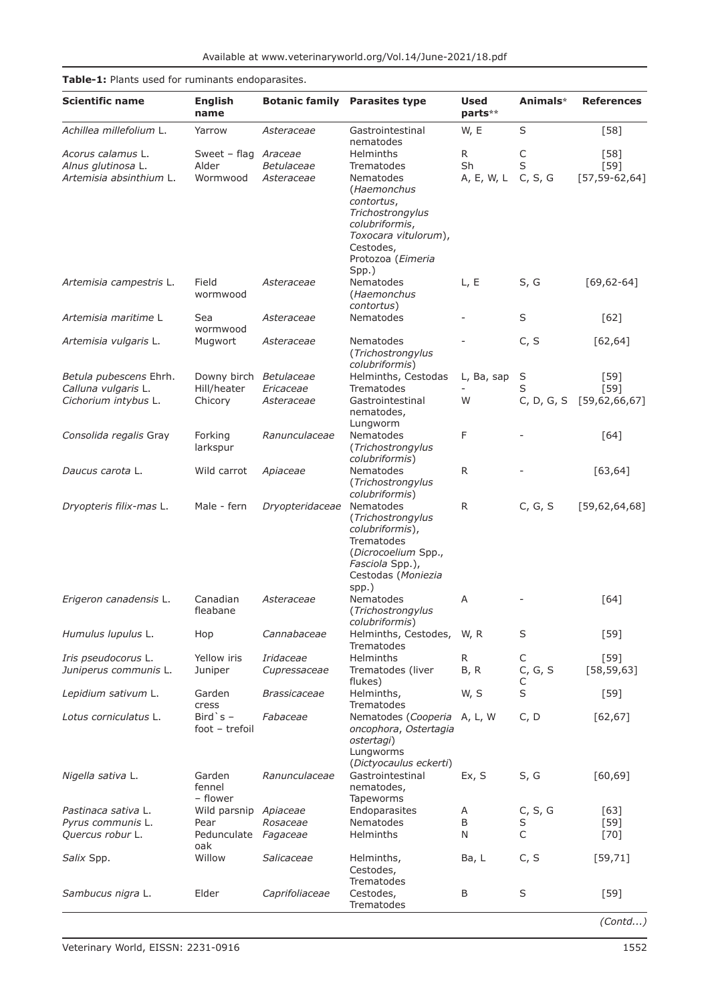| <b>Pable 1:</b> Plants asca for familiants chaoparasites. |                                       |                     |                                      |                        | Animals*   |                   |
|-----------------------------------------------------------|---------------------------------------|---------------------|--------------------------------------|------------------------|------------|-------------------|
| <b>Scientific name</b>                                    | <b>English</b><br>name                |                     | <b>Botanic family Parasites type</b> | <b>Used</b><br>parts** |            | <b>References</b> |
| Achillea millefolium L.                                   | Yarrow                                | Asteraceae          | Gastrointestinal<br>nematodes        | W, E                   | $\sf S$    | $[58]$            |
| Acorus calamus L.                                         | Sweet - flag Araceae                  |                     | Helminths                            | R                      | C          | $[58]$            |
| Alnus glutinosa L.                                        | Alder                                 | Betulaceae          | Trematodes                           | Sh                     | S          | $[59]$            |
| Artemisia absinthium L.                                   | Wormwood                              | Asteraceae          | Nematodes                            | A, E, W, L             | C, S, G    | $[57, 59-62, 64]$ |
|                                                           |                                       |                     | (Haemonchus                          |                        |            |                   |
|                                                           |                                       |                     | contortus,                           |                        |            |                   |
|                                                           |                                       |                     | Trichostrongylus                     |                        |            |                   |
|                                                           |                                       |                     | colubriformis,                       |                        |            |                   |
|                                                           |                                       |                     | Toxocara vitulorum),<br>Cestodes,    |                        |            |                   |
|                                                           |                                       |                     | Protozoa (Eimeria                    |                        |            |                   |
|                                                           |                                       |                     | Spp.)                                |                        |            |                   |
| Artemisia campestris L.                                   | Field                                 | Asteraceae          | Nematodes                            | L, E                   | S, G       | $[69, 62 - 64]$   |
|                                                           | wormwood                              |                     | (Haemonchus                          |                        |            |                   |
|                                                           |                                       |                     | contortus)                           |                        |            |                   |
| Artemisia maritime L                                      | Sea                                   | Asteraceae          | <b>Nematodes</b>                     |                        | $\sf S$    | $[62]$            |
|                                                           | wormwood                              |                     |                                      |                        |            |                   |
| Artemisia vulgaris L.                                     | Mugwort                               | Asteraceae          | Nematodes                            |                        | C, S       | [62, 64]          |
|                                                           |                                       |                     | (Trichostrongylus                    |                        |            |                   |
|                                                           |                                       |                     | colubriformis)                       |                        |            |                   |
| Betula pubescens Ehrh.<br>Calluna vulgaris L.             | Downy birch Betulaceae<br>Hill/heater | Ericaceae           | Helminths, Cestodas<br>Trematodes    | L, Ba, sap             | S<br>S     | $[59]$<br>$[59]$  |
| Cichorium intybus L.                                      | Chicory                               | Asteraceae          | Gastrointestinal                     | W                      | C, D, G, S | [59,62,66,67]     |
|                                                           |                                       |                     | nematodes,                           |                        |            |                   |
|                                                           |                                       |                     | Lungworm                             |                        |            |                   |
| Consolida regalis Gray                                    | Forking                               | Ranunculaceae       | Nematodes                            | F                      |            | $[64]$            |
|                                                           | larkspur                              |                     | (Trichostrongylus                    |                        |            |                   |
|                                                           |                                       |                     | colubriformis)                       |                        |            |                   |
| Daucus carota L.                                          | Wild carrot                           | Apiaceae            | Nematodes                            | $\mathsf{R}$           |            | [63, 64]          |
|                                                           |                                       |                     | (Trichostrongylus                    |                        |            |                   |
| Dryopteris filix-mas L.                                   | Male - fern                           | Dryopteridaceae     | colubriformis)<br>Nematodes          | $\mathsf{R}$           | C, G, S    | [59, 62, 64, 68]  |
|                                                           |                                       |                     | (Trichostrongylus                    |                        |            |                   |
|                                                           |                                       |                     | colubriformis),                      |                        |            |                   |
|                                                           |                                       |                     | Trematodes                           |                        |            |                   |
|                                                           |                                       |                     | (Dicrocoelium Spp.,                  |                        |            |                   |
|                                                           |                                       |                     | Fasciola Spp.),                      |                        |            |                   |
|                                                           |                                       |                     | Cestodas (Moniezia                   |                        |            |                   |
| Erigeron canadensis L.                                    | Canadian                              | Asteraceae          | spp.)<br>Nematodes                   | A                      |            | [64]              |
|                                                           | fleabane                              |                     | (Trichostrongylus                    |                        |            |                   |
|                                                           |                                       |                     | colubriformis)                       |                        |            |                   |
| Humulus lupulus L.                                        | Hop                                   | Cannabaceae         | Helminths, Cestodes,                 | W, R                   | S          | $[59]$            |
|                                                           |                                       |                     | Trematodes                           |                        |            |                   |
| Iris pseudocorus L.                                       | Yellow iris                           | Iridaceae           | Helminths                            | R                      | C          | $[59]$            |
| Juniperus communis L.                                     | Juniper                               | Cupressaceae        | Trematodes (liver                    | B, R                   | C, G, S    | [58, 59, 63]      |
|                                                           |                                       |                     | flukes)                              |                        | С          |                   |
| Lepidium sativum L.                                       | Garden<br>cress                       | <b>Brassicaceae</b> | Helminths,<br>Trematodes             | W, S                   | S          | $[59]$            |
| Lotus corniculatus L.                                     | Bird `s $-$                           | Fabaceae            | Nematodes (Cooperia                  | A, L, W                | C, D       | $[62, 67]$        |
|                                                           | foot - trefoil                        |                     | oncophora, Ostertagia                |                        |            |                   |
|                                                           |                                       |                     | ostertagi)                           |                        |            |                   |
|                                                           |                                       |                     | Lungworms                            |                        |            |                   |
|                                                           |                                       |                     | (Dictyocaulus eckerti)               |                        |            |                   |
| Nigella sativa L.                                         | Garden                                | Ranunculaceae       | Gastrointestinal                     | Ex, S                  | S, G       | [60, 69]          |
|                                                           | fennel                                |                     | nematodes,                           |                        |            |                   |
| <i>Pastinaca sativa</i> L.                                | - flower<br>Wild parsnip Apiaceae     |                     | <b>Tapeworms</b><br>Endoparasites    | A                      | C, S, G    | $[63]$            |
| Pyrus communis L.                                         | Pear                                  | Rosaceae            | Nematodes                            | B                      | S          | $[59]$            |
| Quercus robur L.                                          | Pedunculate                           | Fagaceae            | <b>Helminths</b>                     | N                      | C          | $[70]$            |
|                                                           | oak                                   |                     |                                      |                        |            |                   |
| Salix Spp.                                                | Willow                                | Salicaceae          | Helminths,                           | Ba, L                  | C, S       | [59, 71]          |
|                                                           |                                       |                     | Cestodes,                            |                        |            |                   |
|                                                           |                                       |                     | Trematodes                           |                        |            |                   |
| Sambucus nigra L.                                         | Elder                                 | Caprifoliaceae      | Cestodes,                            | B                      | S          | $[59]$            |
|                                                           |                                       |                     | Trematodes                           |                        |            |                   |

# **Table-1:** Plants used for ruminants endoparasites.

*(Contd...)*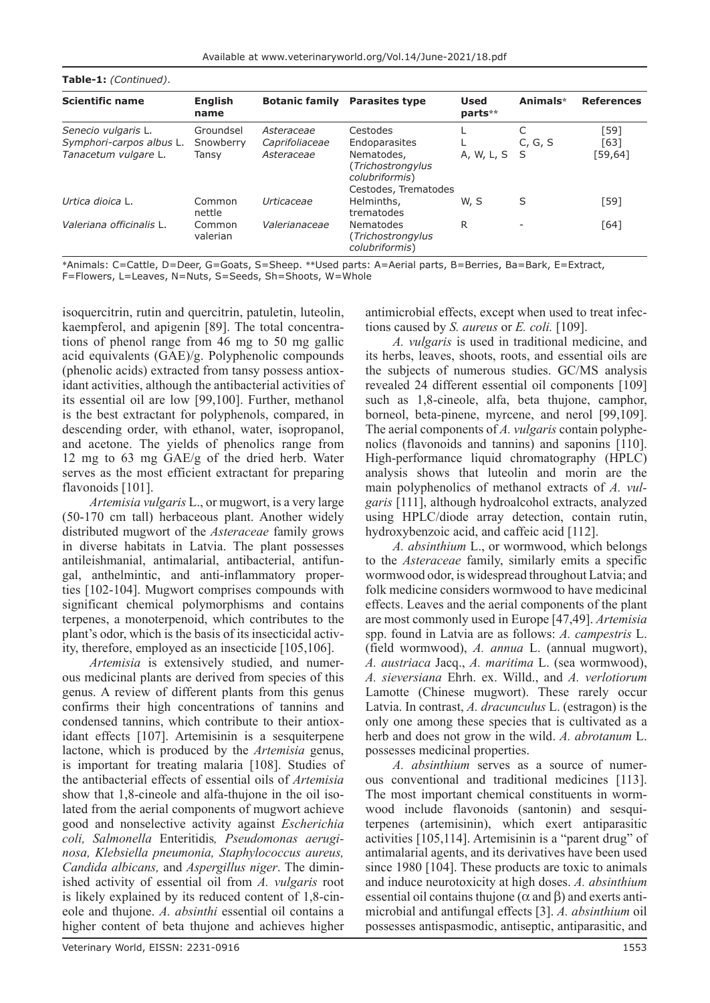| <b>Scientific name</b>   | <b>English</b><br>name | <b>Botanic family</b> | <b>Parasites type</b>                                                     | <b>Used</b><br>parts** | Animals* | <b>References</b> |  |
|--------------------------|------------------------|-----------------------|---------------------------------------------------------------------------|------------------------|----------|-------------------|--|
| Senecio vulgaris L.      | Groundsel              | Asteraceae            | Cestodes                                                                  |                        |          | [59]              |  |
| Symphori-carpos albus L. | Snowberry              | Caprifoliaceae        | Endoparasites                                                             |                        | C, G, S  | [63]              |  |
| Tanacetum vulgare L.     | Tansy                  | Asteraceae            | Nematodes,<br>(Trichostrongylus<br>colubriformis)<br>Cestodes, Trematodes | A, W, L, S S           |          | [59,64]           |  |
| Urtica dioica L.         | Common<br>nettle       | Urticaceae            | Helminths,<br>trematodes                                                  | W. S                   | S        | $[59]$            |  |
| Valeriana officinalis L. | Common<br>valerian     | Valerianaceae         | Nematodes<br>(Trichostrongylus<br>colubriformis)                          | R                      |          | [64]              |  |

\*Animals: C=Cattle, D=Deer, G=Goats, S=Sheep. \*\*Used parts: A=Aerial parts, B=Berries, Ba=Bark, E=Extract,

F=Flowers, L=Leaves, N=Nuts, S=Seeds, Sh=Shoots, W=Whole

**Table-1:** *(Continued)*.

isoquercitrin, rutin and quercitrin, patuletin, luteolin, kaempferol, and apigenin [89]. The total concentrations of phenol range from 46 mg to 50 mg gallic acid equivalents (GAE)/g. Polyphenolic compounds (phenolic acids) extracted from tansy possess antioxidant activities, although the antibacterial activities of its essential oil are low [99,100]. Further, methanol is the best extractant for polyphenols, compared, in descending order, with ethanol, water, isopropanol, and acetone. The yields of phenolics range from 12 mg to 63 mg GAE/g of the dried herb. Water serves as the most efficient extractant for preparing flavonoids [101].

*Artemisia vulgaris* L., or mugwort, is a very large (50-170 cm tall) herbaceous plant. Another widely distributed mugwort of the *Asteraceae* family grows in diverse habitats in Latvia. The plant possesses antileishmanial, antimalarial, antibacterial, antifungal, anthelmintic, and anti-inflammatory properties [102-104]. Mugwort comprises compounds with significant chemical polymorphisms and contains terpenes, a monoterpenoid, which contributes to the plant's odor, which is the basis of its insecticidal activity, therefore, employed as an insecticide [105,106].

*Artemisia* is extensively studied, and numerous medicinal plants are derived from species of this genus. A review of different plants from this genus confirms their high concentrations of tannins and condensed tannins, which contribute to their antioxidant effects [107]. Artemisinin is a sesquiterpene lactone, which is produced by the *Artemisia* genus, is important for treating malaria [108]. Studies of the antibacterial effects of essential oils of *Artemisia* show that 1,8-cineole and alfa-thujone in the oil isolated from the aerial components of mugwort achieve good and nonselective activity against *Escherichia coli, Salmonella* Enteritidis*, Pseudomonas aeruginosa, Klebsiella pneumonia, Staphylococcus aureus, Candida albicans,* and *Aspergillus niger*. The diminished activity of essential oil from *A. vulgaris* root is likely explained by its reduced content of 1,8-cineole and thujone. *A. absinthi* essential oil contains a higher content of beta thujone and achieves higher

antimicrobial effects, except when used to treat infections caused by *S. aureus* or *E. coli.* [109].

*A. vulgaris* is used in traditional medicine, and its herbs, leaves, shoots, roots, and essential oils are the subjects of numerous studies. GC/MS analysis revealed 24 different essential oil components [109] such as 1,8-cineole, alfa, beta thujone, camphor, borneol, beta-pinene, myrcene, and nerol [99,109]. The aerial components of *A. vulgaris* contain polyphenolics (flavonoids and tannins) and saponins [110]. High-performance liquid chromatography (HPLC) analysis shows that luteolin and morin are the main polyphenolics of methanol extracts of *A. vulgaris* [111], although hydroalcohol extracts, analyzed using HPLC/diode array detection, contain rutin, hydroxybenzoic acid, and caffeic acid [112].

*A. absinthium* L., or wormwood, which belongs to the *Asteraceae* family, similarly emits a specific wormwood odor, is widespread throughout Latvia; and folk medicine considers wormwood to have medicinal effects. Leaves and the aerial components of the plant are most commonly used in Europe [47,49]. *Artemisia* spp. found in Latvia are as follows: *A. campestris* L. (field wormwood), *A. annua* L. (annual mugwort), *A. austriaca* Jacq., *A. maritima* L. (sea wormwood), *A. sieversiana* Ehrh. ex. Willd., and *A. verlotiorum* Lamotte (Chinese mugwort). These rarely occur Latvia. In contrast, *A. dracunculus* L. (estragon) is the only one among these species that is cultivated as a herb and does not grow in the wild. *A. abrotanum* L. possesses medicinal properties.

*A. absinthium* serves as a source of numerous conventional and traditional medicines [113]. The most important chemical constituents in wormwood include flavonoids (santonin) and sesquiterpenes (artemisinin), which exert antiparasitic activities [105,114]. Artemisinin is a "parent drug" of antimalarial agents, and its derivatives have been used since 1980 [104]. These products are toxic to animals and induce neurotoxicity at high doses. *A. absinthium* essential oil contains thujone ( $\alpha$  and  $\beta$ ) and exerts antimicrobial and antifungal effects [3]. *A. absinthium* oil possesses antispasmodic, antiseptic, antiparasitic, and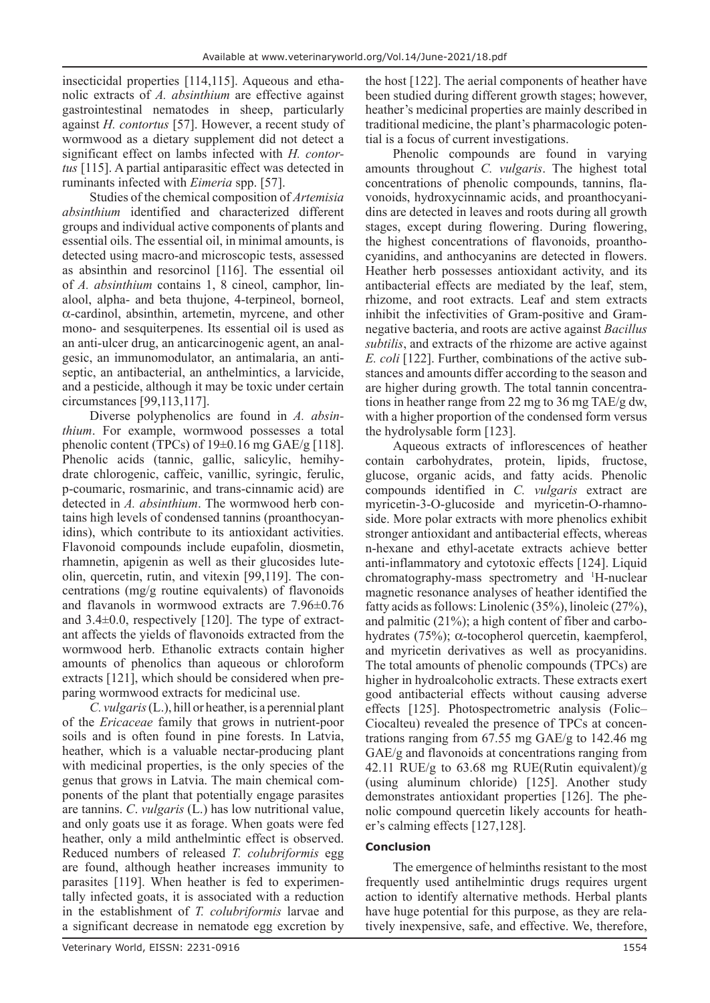insecticidal properties [114,115]. Aqueous and ethanolic extracts of *A. absinthium* are effective against gastrointestinal nematodes in sheep, particularly against *H. contortus* [57]. However, a recent study of wormwood as a dietary supplement did not detect a significant effect on lambs infected with *H. contortus* [115]. A partial antiparasitic effect was detected in ruminants infected with *Eimeria* spp. [57].

Studies of the chemical composition of *Artemisia absinthium* identified and characterized different groups and individual active components of plants and essential oils. The essential oil, in minimal amounts, is detected using macro-and microscopic tests, assessed as absinthin and resorcinol [116]. The essential oil of *A. absinthium* contains 1, 8 cineol, camphor, linalool, alpha- and beta thujone, 4-terpineol, borneol, α-cardinol, absinthin, artemetin, myrcene, and other mono- and sesquiterpenes. Its essential oil is used as an anti-ulcer drug, an anticarcinogenic agent, an analgesic, an immunomodulator, an antimalaria, an antiseptic, an antibacterial, an anthelmintics, a larvicide, and a pesticide, although it may be toxic under certain circumstances [99,113,117].

Diverse polyphenolics are found in *A. absinthium*. For example, wormwood possesses a total phenolic content (TPCs) of  $19\pm0.16$  mg GAE/g [118]. Phenolic acids (tannic, gallic, salicylic, hemihydrate chlorogenic, caffeic, vanillic, syringic, ferulic, p-coumaric, rosmarinic, and trans-cinnamic acid) are detected in *A. absinthium*. The wormwood herb contains high levels of condensed tannins (proanthocyanidins), which contribute to its antioxidant activities. Flavonoid compounds include eupafolin, diosmetin, rhamnetin, apigenin as well as their glucosides luteolin, quercetin, rutin, and vitexin [99,119]. The concentrations (mg/g routine equivalents) of flavonoids and flavanols in wormwood extracts are 7.96±0.76 and 3.4±0.0, respectively [120]. The type of extractant affects the yields of flavonoids extracted from the wormwood herb. Ethanolic extracts contain higher amounts of phenolics than aqueous or chloroform extracts [121], which should be considered when preparing wormwood extracts for medicinal use.

*C. vulgaris* (L.), hill or heather, is a perennial plant of the *Ericaceae* family that grows in nutrient-poor soils and is often found in pine forests. In Latvia, heather, which is a valuable nectar-producing plant with medicinal properties, is the only species of the genus that grows in Latvia. The main chemical components of the plant that potentially engage parasites are tannins. *C*. *vulgaris* (L.) has low nutritional value, and only goats use it as forage. When goats were fed heather, only a mild anthelmintic effect is observed. Reduced numbers of released *T. colubriformis* egg are found, although heather increases immunity to parasites [119]. When heather is fed to experimentally infected goats, it is associated with a reduction in the establishment of *T. colubriformis* larvae and a significant decrease in nematode egg excretion by

the host [122]. The aerial components of heather have been studied during different growth stages; however, heather's medicinal properties are mainly described in traditional medicine, the plant's pharmacologic potential is a focus of current investigations.

Phenolic compounds are found in varying amounts throughout *C. vulgaris*. The highest total concentrations of phenolic compounds, tannins, flavonoids, hydroxycinnamic acids, and proanthocyanidins are detected in leaves and roots during all growth stages, except during flowering. During flowering, the highest concentrations of flavonoids, proanthocyanidins, and anthocyanins are detected in flowers. Heather herb possesses antioxidant activity, and its antibacterial effects are mediated by the leaf, stem, rhizome, and root extracts. Leaf and stem extracts inhibit the infectivities of Gram-positive and Gramnegative bacteria, and roots are active against *Bacillus subtilis*, and extracts of the rhizome are active against *E. coli* [122]. Further, combinations of the active substances and amounts differ according to the season and are higher during growth. The total tannin concentrations in heather range from 22 mg to 36 mg TAE/g dw, with a higher proportion of the condensed form versus the hydrolysable form [123].

Aqueous extracts of inflorescences of heather contain carbohydrates, protein, lipids, fructose, glucose, organic acids, and fatty acids. Phenolic compounds identified in *C. vulgaris* extract are myricetin-3-O-glucoside and myricetin-O-rhamnoside. More polar extracts with more phenolics exhibit stronger antioxidant and antibacterial effects, whereas n-hexane and ethyl-acetate extracts achieve better anti-inflammatory and cytotoxic effects [124]. Liquid chromatography-mass spectrometry and 1 H-nuclear magnetic resonance analyses of heather identified the fatty acids as follows: Linolenic (35%), linoleic (27%), and palmitic (21%); a high content of fiber and carbohydrates (75%); α-tocopherol quercetin, kaempferol, and myricetin derivatives as well as procyanidins. The total amounts of phenolic compounds (TPCs) are higher in hydroalcoholic extracts. These extracts exert good antibacterial effects without causing adverse effects [125]. Photospectrometric analysis (Folic– Ciocalteu) revealed the presence of TPCs at concentrations ranging from 67.55 mg GAE/g to 142.46 mg GAE/g and flavonoids at concentrations ranging from 42.11 RUE/g to 63.68 mg RUE(Rutin equivalent)/g (using aluminum chloride) [125]. Another study demonstrates antioxidant properties [126]. The phenolic compound quercetin likely accounts for heather's calming effects [127,128].

## **Conclusion**

The emergence of helminths resistant to the most frequently used antihelmintic drugs requires urgent action to identify alternative methods. Herbal plants have huge potential for this purpose, as they are relatively inexpensive, safe, and effective. We, therefore,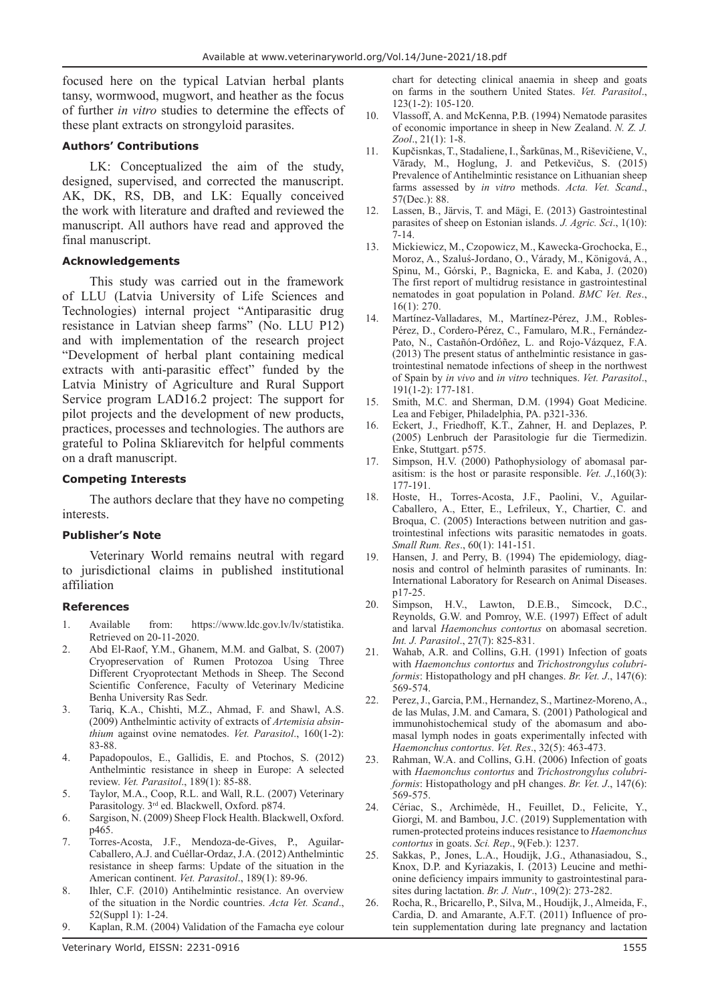focused here on the typical Latvian herbal plants tansy, wormwood, mugwort, and heather as the focus of further *in vitro* studies to determine the effects of these plant extracts on strongyloid parasites.

### **Authors' Contributions**

LK: Conceptualized the aim of the study, designed, supervised, and corrected the manuscript. AK, DK, RS, DB, and LK: Equally conceived the work with literature and drafted and reviewed the manuscript. All authors have read and approved the final manuscript.

### **Acknowledgements**

This study was carried out in the framework of LLU (Latvia University of Life Sciences and Technologies) internal project "Antiparasitic drug resistance in Latvian sheep farms" (No. LLU P12) and with implementation of the research project "Development of herbal plant containing medical extracts with anti-parasitic effect" funded by the Latvia Ministry of Agriculture and Rural Support Service program LAD16.2 project: The support for pilot projects and the development of new products, practices, processes and technologies. The authors are grateful to Polina Skliarevitch for helpful comments on a draft manuscript.

### **Competing Interests**

The authors declare that they have no competing interests.

#### **Publisher's Note**

Veterinary World remains neutral with regard to jurisdictional claims in published institutional affiliation

#### **References**

- 1. Available from: https://www.ldc.gov.lv/lv/statistika. Retrieved on 20-11-2020.
- 2. Abd El-Raof, Y.M., Ghanem, M.M. and Galbat, S. (2007) Cryopreservation of Rumen Protozoa Using Three Different Cryoprotectant Methods in Sheep. The Second Scientific Conference, Faculty of Veterinary Medicine Benha University Ras Sedr.
- 3. Tariq, K.A., Chishti, M.Z., Ahmad, F. and Shawl, A.S. (2009) Anthelmintic activity of extracts of *Artemisia absinthium* against ovine nematodes. *Vet. Parasitol*., 160(1-2): 83-88.
- 4. Papadopoulos, E., Gallidis, E. and Ptochos, S. (2012) Anthelmintic resistance in sheep in Europe: A selected review. *Vet. Parasitol*., 189(1): 85-88.
- 5. Taylor, M.A., Coop, R.L. and Wall, R.L. (2007) Veterinary Parasitology. 3<sup>rd</sup> ed. Blackwell, Oxford. p874.
- 6. Sargison, N. (2009) Sheep Flock Health. Blackwell, Oxford. p465.
- 7. Torres-Acosta, J.F., Mendoza-de-Gives, P., Aguilar-Caballero, A.J. and Cuéllar-Ordaz, J.A. (2012) Anthelmintic resistance in sheep farms: Update of the situation in the American continent. *Vet. Parasitol*., 189(1): 89-96.
- 8. Ihler, C.F. (2010) Antihelmintic resistance. An overview of the situation in the Nordic countries. *Acta Vet. Scand*., 52(Suppl 1): 1-24.
- 9. Kaplan, R.M. (2004) Validation of the Famacha eye colour

chart for detecting clinical anaemia in sheep and goats on farms in the southern United States. *Vet. Parasitol*., 123(1-2): 105-120.

- 10. Vlassoff, A. and McKenna, P.B. (1994) Nematode parasites of economic importance in sheep in New Zealand. *N. Z. J. Zool*., 21(1): 1-8.
- 11. Kupčisnkas, T., Stadaliene, I., Šarkūnas, M., Riševičiene, V., Vārady, M., Hoglung, J. and Petkevičus, S. (2015) Prevalence of Antihelmintic resistance on Lithuanian sheep farms assessed by *in vitro* methods. *Acta. Vet. Scand*., 57(Dec.): 88.
- 12. Lassen, B., Järvis, T. and Mägi, E. (2013) Gastrointestinal parasites of sheep on Estonian islands. *J. Agric. Sci*., 1(10): 7-14.
- 13. Mickiewicz, M., Czopowicz, M., Kawecka-Grochocka, E., Moroz, A., Szaluś-Jordano, O., Várady, M., Königová, A., Spinu, M., Górski, P., Bagnicka, E. and Kaba, J. (2020) The first report of multidrug resistance in gastrointestinal nematodes in goat population in Poland. *BMC Vet. Res*., 16(1): 270.
- 14. Martínez-Valladares, M., Martínez-Pérez, J.M., Robles-Pérez, D., Cordero-Pérez, C., Famularo, M.R., Fernández-Pato, N., Castañón-Ordóñez, L. and Rojo-Vázquez, F.A. (2013) The present status of anthelmintic resistance in gastrointestinal nematode infections of sheep in the northwest of Spain by *in vivo* and *in vitro* techniques. *Vet. Parasitol*., 191(1-2): 177-181.
- 15. Smith, M.C. and Sherman, D.M. (1994) Goat Medicine. Lea and Febiger, Philadelphia, PA. p321-336.
- 16. Eckert, J., Friedhoff, K.T., Zahner, H. and Deplazes, P. (2005) Lenbruch der Parasitologie fur die Tiermedizin. Enke, Stuttgart. p575.
- 17. Simpson, H.V. (2000) Pathophysiology of abomasal parasitism: is the host or parasite responsible. *Vet. J*.,160(3): 177-191.
- 18. Hoste, H., Torres-Acosta, J.F., Paolini, V., Aguilar-Caballero, A., Etter, E., Lefrileux, Y., Chartier, C. and Broqua, C. (2005) Interactions between nutrition and gastrointestinal infections wits parasitic nematodes in goats. *Small Rum. Res*., 60(1): 141-151.
- 19. Hansen, J. and Perry, B. (1994) The epidemiology, diagnosis and control of helminth parasites of ruminants. In: International Laboratory for Research on Animal Diseases. p17-25.
- 20. Simpson, H.V., Lawton, D.E.B., Simcock, D.C., Reynolds, G.W. and Pomroy, W.E. (1997) Effect of adult and larval *Haemonchus contortus* on abomasal secretion. *Int. J. Parasitol*., 27(7): 825-831.
- 21. Wahab, A.R. and Collins, G.H. (1991) Infection of goats with *Haemonchus contortus* and *Trichostrongylus colubriformis*: Histopathology and pH changes. *Br. Vet. J*., 147(6): 569-574.
- 22. Perez, J., Garcia, P.M., Hernandez, S., Martinez-Moreno,A., de las Mulas, J.M. and Camara, S. (2001) Pathological and immunohistochemical study of the abomasum and abomasal lymph nodes in goats experimentally infected with *Haemonchus contortus*. *Vet. Res*., 32(5): 463-473.
- 23. Rahman, W.A. and Collins, G.H. (2006) Infection of goats with *Haemonchus contortus* and *Trichostrongylus colubriformis*: Histopathology and pH changes. *Br. Vet. J*., 147(6): 569-575.
- 24. Cériac, S., Archimède, H., Feuillet, D., Felicite, Y., Giorgi, M. and Bambou, J.C. (2019) Supplementation with rumen-protected proteins induces resistance to *Haemonchus contortus* in goats. *Sci. Rep*., 9(Feb.): 1237.
- 25. Sakkas, P., Jones, L.A., Houdijk, J.G., Athanasiadou, S., Knox, D.P. and Kyriazakis, I. (2013) Leucine and methionine deficiency impairs immunity to gastrointestinal parasites during lactation. *Br. J. Nutr*., 109(2): 273-282.
- 26. Rocha, R., Bricarello, P., Silva, M., Houdijk, J., Almeida, F., Cardia, D. and Amarante, A.F.T. (2011) Influence of protein supplementation during late pregnancy and lactation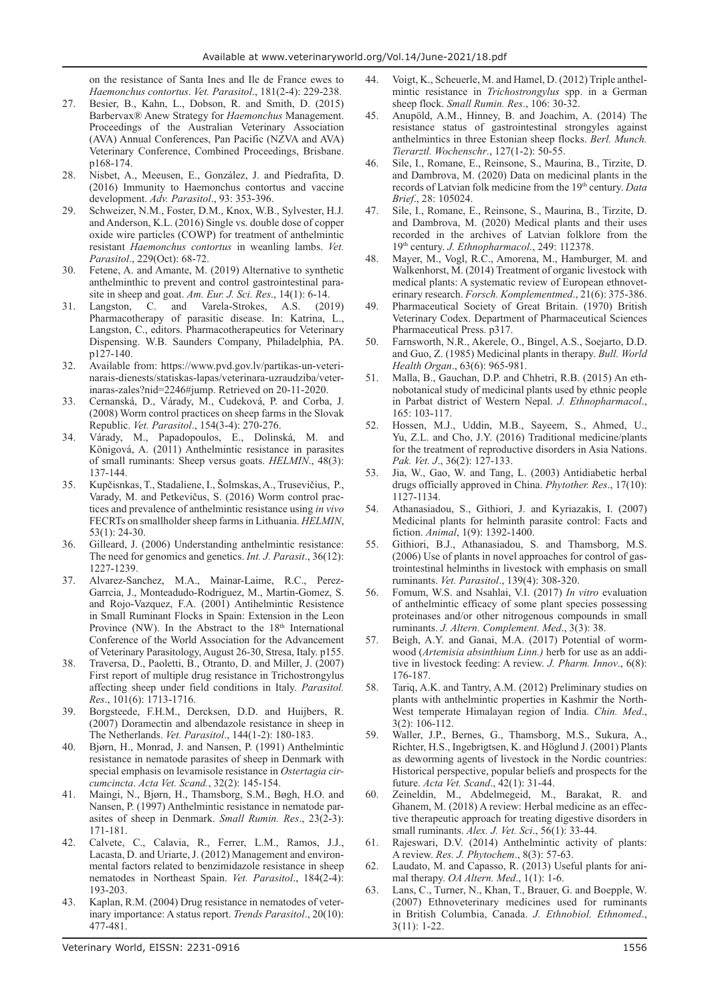on the resistance of Santa Ines and Ile de France ewes to *Haemonchus contortus*. *Vet. Parasitol*., 181(2-4): 229-238.

- 27. Besier, B., Kahn, L., Dobson, R. and Smith, D. (2015) Barbervax® Anew Strategy for *Haemonchus* Management. Proceedings of the Australian Veterinary Association (AVA) Annual Conferences, Pan Pacific (NZVA and AVA) Veterinary Conference, Combined Proceedings, Brisbane. p168-174.
- 28. Nisbet, A., Meeusen, E., González, J. and Piedrafita, D. (2016) Immunity to Haemonchus contortus and vaccine development. *Adv. Parasitol*., 93: 353-396.
- 29. Schweizer, N.M., Foster, D.M., Knox, W.B., Sylvester, H.J. and Anderson, K.L. (2016) Single vs. double dose of copper oxide wire particles (COWP) for treatment of anthelmintic resistant *Haemonchus contortus* in weanling lambs. *Vet. Parasitol*., 229(Oct): 68-72.
- 30. Fetene, A. and Amante, M. (2019) Alternative to synthetic anthelminthic to prevent and control gastrointestinal parasite in sheep and goat. *Am. Eur. J. Sci. Res*., 14(1): 6-14.
- 31. Langston, C. and Varela-Strokes, A.S. (2019) Pharmacotherapy of parasitic disease. In: Katrina, L., Langston, C., editors. Pharmacotherapeutics for Veterinary Dispensing. W.B. Saunders Company, Philadelphia, PA. p127-140.
- 32. Available from: https://www.pvd.gov.lv/partikas-un-veterinarais-dienests/statiskas-lapas/veterinara-uzraudziba/veterinaras-zales?nid=2246#jump. Retrieved on 20-11-2020.
- 33. Cernanská, D., Várady, M., Cudeková, P. and Corba, J. (2008) Worm control practices on sheep farms in the Slovak Republic. *Vet. Parasitol*., 154(3-4): 270-276.
- 34. Várady, M., Papadopoulos, E., Dolinská, M. and Königová, A. (2011) Anthelmintic resistance in parasites of small ruminants: Sheep versus goats. *HELMIN*., 48(3): 137-144.
- 35. Kupčisnkas, T., Stadaliene, I., Šolmskas, A., Trusevičius, P., Varady, M. and Petkevičus, S. (2016) Worm control practices and prevalence of anthelmintic resistance using *in vivo* FECRTs on smallholder sheep farms in Lithuania. *HELMIN*, 53(1): 24-30.
- 36. Gilleard, J. (2006) Understanding anthelmintic resistance: The need for genomics and genetics. *Int. J. Parasit*., 36(12): 1227-1239.
- 37. Alvarez-Sanchez, M.A., Mainar-Laime, R.C., Perez-Garrcia, J., Monteadudo-Rodriguez, M., Martin-Gomez, S. and Rojo-Vazquez, F.A. (2001) Antihelmintic Resistence in Small Ruminant Flocks in Spain: Extension in the Leon Province (NW). In the Abstract to the 18<sup>th</sup> International Conference of the World Association for the Advancement of Veterinary Parasitology, August 26-30, Stresa, Italy. p155.
- 38. Traversa, D., Paoletti, B., Otranto, D. and Miller, J. (2007) First report of multiple drug resistance in Trichostrongylus affecting sheep under field conditions in Italy. *Parasitol. Res*., 101(6): 1713-1716.
- 39. Borgsteede, F.H.M., Dercksen, D.D. and Huijbers, R. (2007) Doramectin and albendazole resistance in sheep in The Netherlands. *Vet. Parasitol*., 144(1-2): 180-183.
- 40. Bjørn, H., Monrad, J. and Nansen, P. (1991) Anthelmintic resistance in nematode parasites of sheep in Denmark with special emphasis on levamisole resistance in *Ostertagia circumcincta*. *Acta Vet. Scand.*, 32(2): 145-154.
- 41. Maingi, N., Bjørn, H., Thamsborg, S.M., Bøgh, H.O. and Nansen, P. (1997) Anthelmintic resistance in nematode parasites of sheep in Denmark. *Small Rumin. Res*., 23(2-3): 171-181.
- 42. Calvete, C., Calavia, R., Ferrer, L.M., Ramos, J.J., Lacasta, D. and Uriarte, J. (2012) Management and environmental factors related to benzimidazole resistance in sheep nematodes in Northeast Spain. *Vet. Parasitol*., 184(2-4): 193-203.
- 43. Kaplan, R.M. (2004) Drug resistance in nematodes of veterinary importance: A status report. *Trends Parasitol*., 20(10): 477-481.
- 45. Anupöld, A.M., Hinney, B. and Joachim, A. (2014) The resistance status of gastrointestinal strongyles against anthelmintics in three Estonian sheep flocks. *Berl. Munch. Tierarztl. Wochenschr*., 127(1-2): 50-55.
- 46. Sile, I., Romane, E., Reinsone, S., Maurina, B., Tirzite, D. and Dambrova, M. (2020) Data on medicinal plants in the records of Latvian folk medicine from the 19<sup>th</sup> century. *Data Brief*., 28: 105024.
- 47. Sile, I., Romane, E., Reinsone, S., Maurina, B., Tirzite, D. and Dambrova, M. (2020) Medical plants and their uses recorded in the archives of Latvian folklore from the 19th century. *J. Ethnopharmacol*., 249: 112378.
- 48. Mayer, M., Vogl, R.C., Amorena, M., Hamburger, M. and Walkenhorst, M. (2014) Treatment of organic livestock with medical plants: A systematic review of European ethnoveterinary research. *Forsch. Komplementmed*., 21(6): 375-386.
- 49. Pharmaceutical Society of Great Britain. (1970) British Veterinary Codex. Department of Pharmaceutical Sciences Pharmaceutical Press. p317.
- 50. Farnsworth, N.R., Akerele, O., Bingel, A.S., Soejarto, D.D. and Guo, Z. (1985) Medicinal plants in therapy. *Bull. World Health Organ*., 63(6): 965-981.
- 51. Malla, B., Gauchan, D.P. and Chhetri, R.B. (2015) An ethnobotanical study of medicinal plants used by ethnic people in Parbat district of Western Nepal. *J. Ethnopharmacol*., 165: 103-117.
- 52. Hossen, M.J., Uddin, M.B., Sayeem, S., Ahmed, U., Yu, Z.L. and Cho, J.Y. (2016) Traditional medicine/plants for the treatment of reproductive disorders in Asia Nations. *Pak. Vet. J*., 36(2): 127-133.
- 53. Jia, W., Gao, W. and Tang, L. (2003) Antidiabetic herbal drugs officially approved in China. *Phytother. Res*., 17(10): 1127-1134.
- 54. Athanasiadou, S., Githiori, J. and Kyriazakis, I. (2007) Medicinal plants for helminth parasite control: Facts and fiction. *Animal*, 1(9): 1392-1400.
- 55. Githiori, B.J., Athanasiadou, S. and Thamsborg, M.S. (2006) Use of plants in novel approaches for control of gastrointestinal helminths in livestock with emphasis on small ruminants. *Vet. Parasitol*., 139(4): 308-320.
- 56. Fomum, W.S. and Nsahlai, V.I. (2017) *In vitro* evaluation of anthelmintic efficacy of some plant species possessing proteinases and/or other nitrogenous compounds in small ruminants. *J. Altern. Complement. Med*., 3(3): 38.
- 57. Beigh, A.Y. and Ganai, M.A. (2017) Potential of wormwood (*Artemisia absinthium Linn.)* herb for use as an additive in livestock feeding: A review. *J. Pharm. Innov*., 6(8): 176-187.
- 58. Tariq, A.K. and Tantry, A.M. (2012) Preliminary studies on plants with anthelmintic properties in Kashmir the North-West temperate Himalayan region of India. *Chin. Med*., 3(2): 106-112.
- 59. Waller, J.P., Bernes, G., Thamsborg, M.S., Sukura, A., Richter, H.S., Ingebrigtsen, K. and Höglund J. (2001) Plants as deworming agents of livestock in the Nordic countries: Historical perspective, popular beliefs and prospects for the future. *Acta Vet. Scand*., 42(1): 31-44.
- Zeineldin, M., Abdelmegeid, M., Barakat, R. and Ghanem, M. (2018) A review: Herbal medicine as an effective therapeutic approach for treating digestive disorders in small ruminants. *Alex. J. Vet. Sci*., 56(1): 33-44.
- 61. Rajeswari, D.V. (2014) Anthelmintic activity of plants: A review. *Res. J. Phytochem*., 8(3): 57-63.
- 62. Laudato, M. and Capasso, R. (2013) Useful plants for animal therapy. *OA Altern. Med*., 1(1): 1-6.
- 63. Lans, C., Turner, N., Khan, T., Brauer, G. and Boepple, W. (2007) Ethnoveterinary medicines used for ruminants in British Columbia, Canada. *J. Ethnobiol. Ethnomed*., 3(11): 1-22.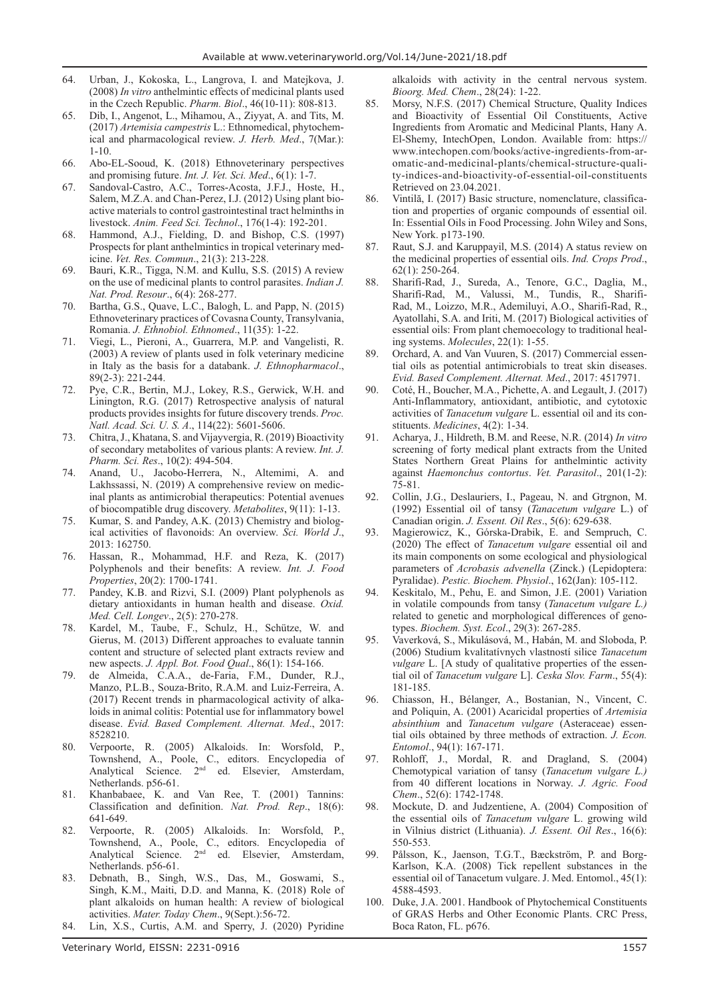- 64. Urban, J., Kokoska, L., Langrova, I. and Matejkova, J. (2008) *In vitro* anthelmintic effects of medicinal plants used in the Czech Republic. *Pharm. Biol*., 46(10-11): 808-813.
- 65. Dib, I., Angenot, L., Mihamou, A., Ziyyat, A. and Tits, M. (2017) *Artemisia campestris* L.: Ethnomedical, phytochemical and pharmacological review. *J. Herb. Med*., 7(Mar.): 1-10.
- 66. Abo-EL-Sooud, K. (2018) Ethnoveterinary perspectives and promising future. *Int. J. Vet. Sci. Med*., 6(1): 1-7.
- 67. Sandoval-Castro, A.C., Torres-Acosta, J.F.J., Hoste, H., Salem, M.Z.A. and Chan-Perez, I.J. (2012) Using plant bioactive materials to control gastrointestinal tract helminths in livestock. *Anim. Feed Sci. Technol*., 176(1-4): 192-201.
- 68. Hammond, A.J., Fielding, D. and Bishop, C.S. (1997) Prospects for plant anthelmintics in tropical veterinary medicine. *Vet. Res. Commun*., 21(3): 213-228.
- 69. Bauri, K.R., Tigga, N.M. and Kullu, S.S. (2015) A review on the use of medicinal plants to control parasites. *Indian J. Nat. Prod. Resour*., 6(4): 268-277.
- 70. Bartha, G.S., Quave, L.C., Balogh, L. and Papp, N. (2015) Ethnoveterinary practices of Covasna County, Transylvania, Romania. *J. Ethnobiol. Ethnomed*., 11(35): 1-22.
- 71. Viegi, L., Pieroni, A., Guarrera, M.P. and Vangelisti, R. (2003) A review of plants used in folk veterinary medicine in Italy as the basis for a databank. *J. Ethnopharmacol*., 89(2-3): 221-244.
- 72. Pye, C.R., Bertin, M.J., Lokey, R.S., Gerwick, W.H. and Linington, R.G. (2017) Retrospective analysis of natural products provides insights for future discovery trends. *Proc. Natl. Acad. Sci. U. S. A*., 114(22): 5601-5606.
- 73. Chitra, J., Khatana, S. and Vijayvergia, R. (2019) Bioactivity of secondary metabolites of various plants: A review. *Int. J. Pharm. Sci. Res*., 10(2): 494-504.
- 74. Anand, U., Jacobo-Herrera, N., Altemimi, A. and Lakhssassi, N. (2019) A comprehensive review on medicinal plants as antimicrobial therapeutics: Potential avenues of biocompatible drug discovery. *Metabolites*, 9(11): 1-13.
- 75. Kumar, S. and Pandey, A.K. (2013) Chemistry and biological activities of flavonoids: An overview. *Sci. World J*., 2013: 162750.
- 76. Hassan, R., Mohammad, H.F. and Reza, K. (2017) Polyphenols and their benefits: A review. *Int. J. Food Properties*, 20(2): 1700-1741.
- 77. Pandey, K.B. and Rizvi, S.I. (2009) Plant polyphenols as dietary antioxidants in human health and disease. *Oxid. Med. Cell. Longev*., 2(5): 270-278.
- 78. Kardel, M., Taube, F., Schulz, H., Schütze, W. and Gierus, M. (2013) Different approaches to evaluate tannin content and structure of selected plant extracts review and new aspects. *J. Appl. Bot. Food Qual*., 86(1): 154-166.
- 79. de Almeida, C.A.A., de-Faria, F.M., Dunder, R.J., Manzo, P.L.B., Souza-Brito, R.A.M. and Luiz-Ferreira, A. (2017) Recent trends in pharmacological activity of alkaloids in animal colitis: Potential use for inflammatory bowel disease. *Evid. Based Complement. Alternat. Med*., 2017: 8528210.
- 80. Verpoorte, R. (2005) Alkaloids. In: Worsfold, P., Townshend, A., Poole, C., editors. Encyclopedia of Analytical Science. 2nd ed. Elsevier, Amsterdam, Netherlands. p56-61.
- 81. Khanbabaee, K. and Van Ree, T. (2001) Tannins: Classification and definition. *Nat. Prod. Rep*., 18(6): 641-649.
- 82. Verpoorte, R. (2005) Alkaloids. In: Worsfold, P., Townshend, A., Poole, C., editors. Encyclopedia of Analytical Science. 2<sup>nd</sup> ed. Elsevier, Amsterdam, Netherlands. p56-61.
- 83. Debnath, B., Singh, W.S., Das, M., Goswami, S., Singh, K.M., Maiti, D.D. and Manna, K. (2018) Role of plant alkaloids on human health: A review of biological activities. *Mater. Today Chem*., 9(Sept.):56-72.
- 84. Lin, X.S., Curtis, A.M. and Sperry, J. (2020) Pyridine

alkaloids with activity in the central nervous system. *Bioorg. Med. Chem*., 28(24): 1-22.

- 85. Morsy, N.F.S. (2017) Chemical Structure, Quality Indices and Bioactivity of Essential Oil Constituents, Active Ingredients from Aromatic and Medicinal Plants, Hany A. El-Shemy, IntechOpen, London. Available from: https:// www.intechopen.com/books/active-ingredients-from-aromatic-and-medicinal-plants/chemical-structure-quality-indices-and-bioactivity-of-essential-oil-constituents Retrieved on 23.04.2021.
- 86. Vintilă, I. (2017) Basic structure, nomenclature, classification and properties of organic compounds of essential oil. In: Essential Oils in Food Processing. John Wiley and Sons, New York. p173-190.
- 87. Raut, S.J. and Karuppayil, M.S. (2014) A status review on the medicinal properties of essential oils. *Ind. Crops Prod*., 62(1): 250-264.
- 88. Sharifi-Rad, J., Sureda, A., Tenore, G.C., Daglia, M., Sharifi-Rad, M., Valussi, M., Tundis, R., Sharifi-Rad, M., Loizzo, M.R., Ademiluyi, A.O., Sharifi-Rad, R., Ayatollahi, S.A. and Iriti, M. (2017) Biological activities of essential oils: From plant chemoecology to traditional healing systems. *Molecules*, 22(1): 1-55.
- 89. Orchard, A. and Van Vuuren, S. (2017) Commercial essential oils as potential antimicrobials to treat skin diseases. *Evid. Based Complement. Alternat. Med*., 2017: 4517971.
- 90. Coté, H., Boucher, M.A., Pichette, A. and Legault, J. (2017) Anti-Inflammatory, antioxidant, antibiotic, and cytotoxic activities of *Tanacetum vulgare* L. essential oil and its constituents. *Medicines*, 4(2): 1-34.
- 91. Acharya, J., Hildreth, B.M. and Reese, N.R. (2014) *In vitro* screening of forty medical plant extracts from the United States Northern Great Plains for anthelmintic activity against *Haemonchus contortus*. *Vet. Parasitol*., 201(1-2): 75-81.
- 92. Collin, J.G., Deslauriers, I., Pageau, N. and Gtrgnon, M. (1992) Essential oil of tansy (*Tanacetum vulgare* L.) of Canadian origin. *J. Essent. Oil Res*., 5(6): 629-638.
- 93. Magierowicz, K., Górska-Drabik, E. and Sempruch, C. (2020) The effect of *Tanacetum vulgare* essential oil and its main components on some ecological and physiological parameters of *Acrobasis advenella* (Zinck.) (Lepidoptera: Pyralidae). *Pestic. Biochem. Physiol*., 162(Jan): 105-112.
- 94. Keskitalo, M., Pehu, E. and Simon, J.E. (2001) Variation in volatile compounds from tansy (*Tanacetum vulgare L.)* related to genetic and morphological differences of genotypes. *Biochem. Syst. Ecol*., 29(3): 267-285.
- 95. Vaverková, S., Mikulásová, M., Habán, M. and Sloboda, P. (2006) Studium kvalitatívnych vlastností silice *Tanacetum vulgare* L. [A study of qualitative properties of the essential oil of *Tanacetum vulgare* L]. *Ceska Slov. Farm*., 55(4): 181-185.
- 96. Chiasson, H., Bélanger, A., Bostanian, N., Vincent, C. and Poliquin, A. (2001) Acaricidal properties of *Artemisia absinthium* and *Tanacetum vulgare* (Asteraceae) essential oils obtained by three methods of extraction. *J. Econ. Entomol*., 94(1): 167-171.
- 97. Rohloff, J., Mordal, R. and Dragland, S. (2004) Chemotypical variation of tansy (*Tanacetum vulgare L.)* from 40 different locations in Norway. *J. Agric. Food Chem*., 52(6): 1742-1748.
- 98. Mockute, D. and Judzentiene, A. (2004) Composition of the essential oils of *Tanacetum vulgare* L. growing wild in Vilnius district (Lithuania). *J. Essent. Oil Res*., 16(6): 550-553.
- 99. Pålsson, K., Jaenson, T.G.T., Bæckström, P. and Borg-Karlson, K.A. (2008) Tick repellent substances in the essential oil of Tanacetum vulgare. J. Med. Entomol., 45(1): 4588-4593.
- 100. Duke, J.A. 2001. Handbook of Phytochemical Constituents of GRAS Herbs and Other Economic Plants. CRC Press, Boca Raton, FL. p676.